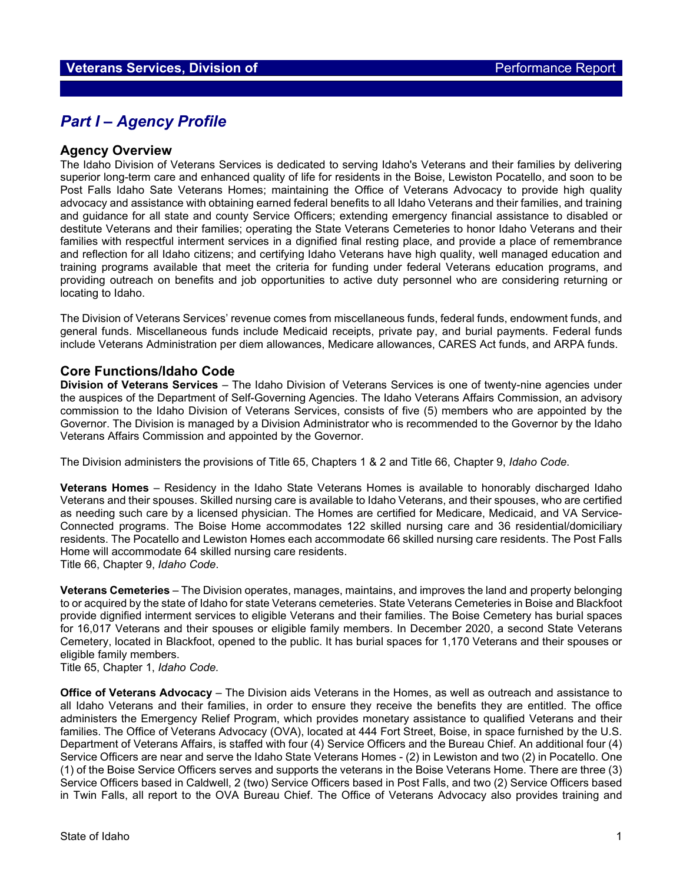# *Part I – Agency Profile*

#### **Agency Overview**

The Idaho Division of Veterans Services is dedicated to serving Idaho's Veterans and their families by delivering superior long-term care and enhanced quality of life for residents in the Boise, Lewiston Pocatello, and soon to be Post Falls Idaho Sate Veterans Homes; maintaining the Office of Veterans Advocacy to provide high quality advocacy and assistance with obtaining earned federal benefits to all Idaho Veterans and their families, and training and guidance for all state and county Service Officers; extending emergency financial assistance to disabled or destitute Veterans and their families; operating the State Veterans Cemeteries to honor Idaho Veterans and their families with respectful interment services in a dignified final resting place, and provide a place of remembrance and reflection for all Idaho citizens; and certifying Idaho Veterans have high quality, well managed education and training programs available that meet the criteria for funding under federal Veterans education programs, and providing outreach on benefits and job opportunities to active duty personnel who are considering returning or locating to Idaho.

The Division of Veterans Services' revenue comes from miscellaneous funds, federal funds, endowment funds, and general funds. Miscellaneous funds include Medicaid receipts, private pay, and burial payments. Federal funds include Veterans Administration per diem allowances, Medicare allowances, CARES Act funds, and ARPA funds.

### **Core Functions/Idaho Code**

**Division of Veterans Services** – The Idaho Division of Veterans Services is one of twenty-nine agencies under the auspices of the Department of Self-Governing Agencies. The Idaho Veterans Affairs Commission, an advisory commission to the Idaho Division of Veterans Services, consists of five (5) members who are appointed by the Governor. The Division is managed by a Division Administrator who is recommended to the Governor by the Idaho Veterans Affairs Commission and appointed by the Governor.

The Division administers the provisions of Title 65, Chapters 1 & 2 and Title 66, Chapter 9, *Idaho Code*.

**Veterans Homes** – Residency in the Idaho State Veterans Homes is available to honorably discharged Idaho Veterans and their spouses. Skilled nursing care is available to Idaho Veterans, and their spouses, who are certified as needing such care by a licensed physician. The Homes are certified for Medicare, Medicaid, and VA Service-Connected programs. The Boise Home accommodates 122 skilled nursing care and 36 residential/domiciliary residents. The Pocatello and Lewiston Homes each accommodate 66 skilled nursing care residents. The Post Falls Home will accommodate 64 skilled nursing care residents.

Title 66, Chapter 9, *Idaho Code*.

**Veterans Cemeteries** – The Division operates, manages, maintains, and improves the land and property belonging to or acquired by the state of Idaho for state Veterans cemeteries. State Veterans Cemeteries in Boise and Blackfoot provide dignified interment services to eligible Veterans and their families. The Boise Cemetery has burial spaces for 16,017 Veterans and their spouses or eligible family members. In December 2020, a second State Veterans Cemetery, located in Blackfoot, opened to the public. It has burial spaces for 1,170 Veterans and their spouses or eligible family members.

Title 65, Chapter 1, *Idaho Code.*

**Office of Veterans Advocacy** – The Division aids Veterans in the Homes, as well as outreach and assistance to all Idaho Veterans and their families, in order to ensure they receive the benefits they are entitled. The office administers the Emergency Relief Program, which provides monetary assistance to qualified Veterans and their families. The Office of Veterans Advocacy (OVA), located at 444 Fort Street, Boise, in space furnished by the U.S. Department of Veterans Affairs, is staffed with four (4) Service Officers and the Bureau Chief. An additional four (4) Service Officers are near and serve the Idaho State Veterans Homes - (2) in Lewiston and two (2) in Pocatello. One (1) of the Boise Service Officers serves and supports the veterans in the Boise Veterans Home. There are three (3) Service Officers based in Caldwell, 2 (two) Service Officers based in Post Falls, and two (2) Service Officers based in Twin Falls, all report to the OVA Bureau Chief. The Office of Veterans Advocacy also provides training and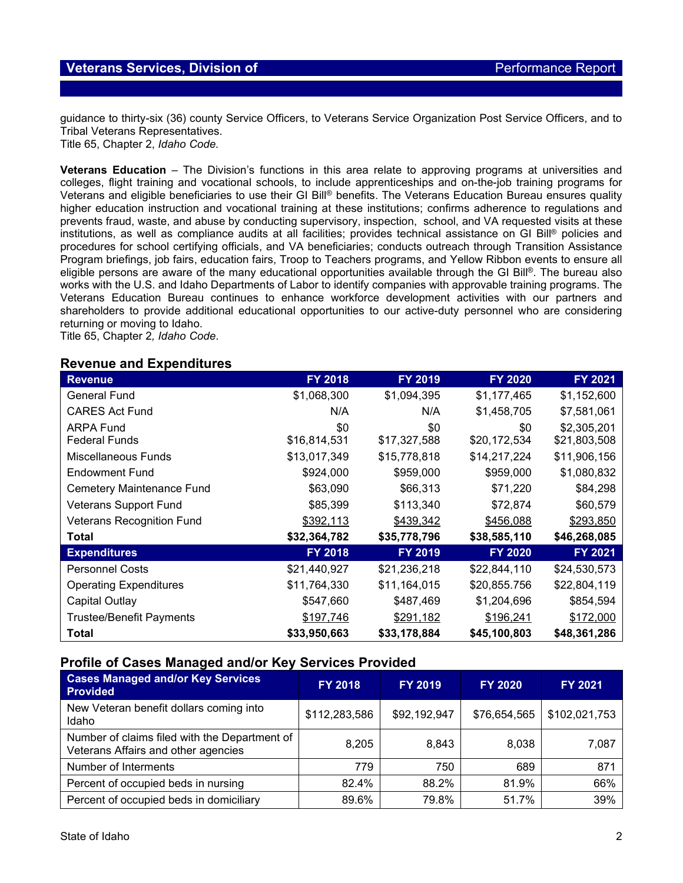guidance to thirty-six (36) county Service Officers, to Veterans Service Organization Post Service Officers, and to Tribal Veterans Representatives.

Title 65, Chapter 2, *Idaho Code.*

**Veterans Education** – The Division's functions in this area relate to approving programs at universities and colleges, flight training and vocational schools, to include apprenticeships and on-the-job training programs for Veterans and eligible beneficiaries to use their GI Bill® benefits. The Veterans Education Bureau ensures quality higher education instruction and vocational training at these institutions; confirms adherence to regulations and prevents fraud, waste, and abuse by conducting supervisory, inspection, school, and VA requested visits at these institutions, as well as compliance audits at all facilities; provides technical assistance on GI Bill® policies and procedures for school certifying officials, and VA beneficiaries; conducts outreach through Transition Assistance Program briefings, job fairs, education fairs, Troop to Teachers programs, and Yellow Ribbon events to ensure all eligible persons are aware of the many educational opportunities available through the GI Bill®. The bureau also works with the U.S. and Idaho Departments of Labor to identify companies with approvable training programs. The Veterans Education Bureau continues to enhance workforce development activities with our partners and shareholders to provide additional educational opportunities to our active-duty personnel who are considering returning or moving to Idaho.

Title 65, Chapter 2*, Idaho Code*.

### **Revenue and Expenditures**

| <b>Revenue</b>                   | FY 2018      | FY 2019      | <b>FY 2020</b> | FY 2021      |
|----------------------------------|--------------|--------------|----------------|--------------|
| <b>General Fund</b>              | \$1,068,300  | \$1,094,395  | \$1,177,465    | \$1,152,600  |
| <b>CARES Act Fund</b>            | N/A          | N/A          | \$1,458,705    | \$7,581,061  |
| <b>ARPA Fund</b>                 | \$0          | \$0          | \$0            | \$2,305,201  |
| <b>Federal Funds</b>             | \$16,814,531 | \$17,327,588 | \$20,172,534   | \$21,803,508 |
| Miscellaneous Funds              | \$13,017,349 | \$15,778,818 | \$14,217,224   | \$11,906,156 |
| Endowment Fund                   | \$924,000    | \$959,000    | \$959,000      | \$1,080,832  |
| Cemetery Maintenance Fund        | \$63,090     | \$66,313     | \$71,220       | \$84,298     |
| <b>Veterans Support Fund</b>     | \$85,399     | \$113,340    | \$72,874       | \$60,579     |
| <b>Veterans Recognition Fund</b> | \$392,113    | \$439,342    | \$456,088      | \$293,850    |
| <b>Total</b>                     | \$32,364,782 | \$35,778,796 | \$38,585,110   | \$46,268,085 |
| <b>Expenditures</b>              | FY 2018      | FY 2019      | <b>FY 2020</b> | FY 2021      |
| <b>Personnel Costs</b>           | \$21,440,927 | \$21,236,218 | \$22,844,110   | \$24,530,573 |
| <b>Operating Expenditures</b>    | \$11,764,330 | \$11,164,015 | \$20,855.756   | \$22,804,119 |
| Capital Outlay                   | \$547,660    | \$487,469    | \$1,204,696    | \$854,594    |
| <b>Trustee/Benefit Payments</b>  | \$197,746    | \$291,182    | \$196,241      | \$172,000    |
| <b>Total</b>                     | \$33,950,663 | \$33,178,884 | \$45,100,803   | \$48,361,286 |

## **Profile of Cases Managed and/or Key Services Provided**

| <b>Cases Managed and/or Key Services</b><br><b>Provided</b>                          | <b>FY 2018</b> | <b>FY 2019</b> | <b>FY 2020</b> | <b>FY 2021</b> |
|--------------------------------------------------------------------------------------|----------------|----------------|----------------|----------------|
| New Veteran benefit dollars coming into<br>Idaho                                     | \$112,283,586  | \$92,192,947   | \$76,654,565   | \$102,021,753  |
| Number of claims filed with the Department of<br>Veterans Affairs and other agencies | 8,205          | 8,843          | 8,038          | 7,087          |
| Number of Interments                                                                 | 779            | 750            | 689            | 871            |
| Percent of occupied beds in nursing                                                  | 82.4%          | 88.2%          | 81.9%          | 66%            |
| Percent of occupied beds in domiciliary                                              | 89.6%          | 79.8%          | 51.7%          | 39%            |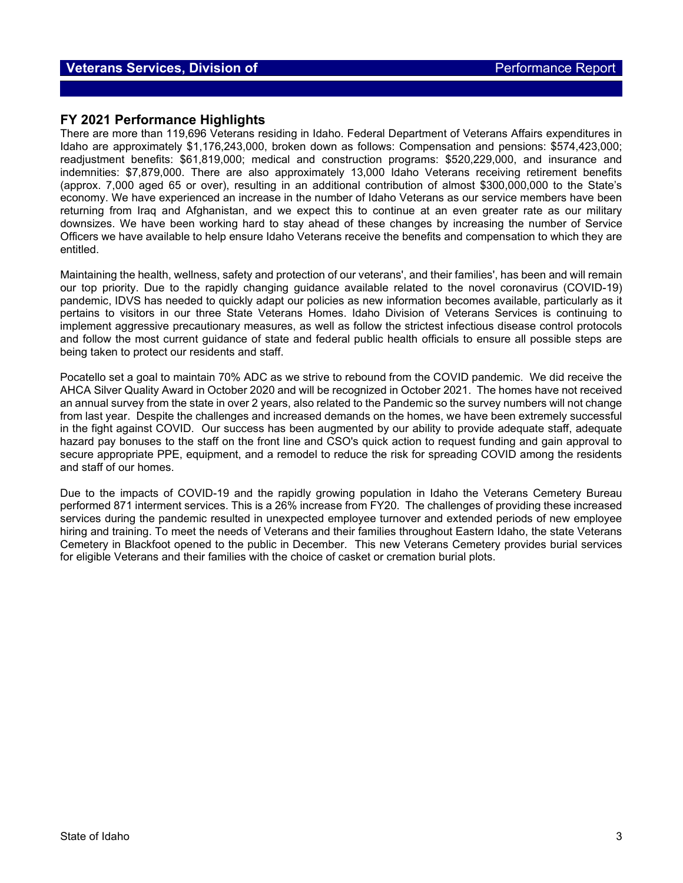### **Veterans Services, Division of** *Performance Report* **Report of** *Performance Report*

#### **FY 2021 Performance Highlights**

There are more than 119,696 Veterans residing in Idaho. Federal Department of Veterans Affairs expenditures in Idaho are approximately \$1,176,243,000, broken down as follows: Compensation and pensions: \$574,423,000; readjustment benefits: \$61,819,000; medical and construction programs: \$520,229,000, and insurance and indemnities: \$7,879,000. There are also approximately 13,000 Idaho Veterans receiving retirement benefits (approx. 7,000 aged 65 or over), resulting in an additional contribution of almost \$300,000,000 to the State's economy. We have experienced an increase in the number of Idaho Veterans as our service members have been returning from Iraq and Afghanistan, and we expect this to continue at an even greater rate as our military downsizes. We have been working hard to stay ahead of these changes by increasing the number of Service Officers we have available to help ensure Idaho Veterans receive the benefits and compensation to which they are entitled.

Maintaining the health, wellness, safety and protection of our veterans', and their families', has been and will remain our top priority. Due to the rapidly changing guidance available related to the novel coronavirus (COVID-19) pandemic, IDVS has needed to quickly adapt our policies as new information becomes available, particularly as it pertains to visitors in our three State Veterans Homes. Idaho Division of Veterans Services is continuing to implement aggressive precautionary measures, as well as follow the strictest infectious disease control protocols and follow the most current guidance of state and federal public health officials to ensure all possible steps are being taken to protect our residents and staff.

Pocatello set a goal to maintain 70% ADC as we strive to rebound from the COVID pandemic. We did receive the AHCA Silver Quality Award in October 2020 and will be recognized in October 2021. The homes have not received an annual survey from the state in over 2 years, also related to the Pandemic so the survey numbers will not change from last year. Despite the challenges and increased demands on the homes, we have been extremely successful in the fight against COVID. Our success has been augmented by our ability to provide adequate staff, adequate hazard pay bonuses to the staff on the front line and CSO's quick action to request funding and gain approval to secure appropriate PPE, equipment, and a remodel to reduce the risk for spreading COVID among the residents and staff of our homes.

Due to the impacts of COVID-19 and the rapidly growing population in Idaho the Veterans Cemetery Bureau performed 871 interment services. This is a 26% increase from FY20. The challenges of providing these increased services during the pandemic resulted in unexpected employee turnover and extended periods of new employee hiring and training. To meet the needs of Veterans and their families throughout Eastern Idaho, the state Veterans Cemetery in Blackfoot opened to the public in December. This new Veterans Cemetery provides burial services for eligible Veterans and their families with the choice of casket or cremation burial plots.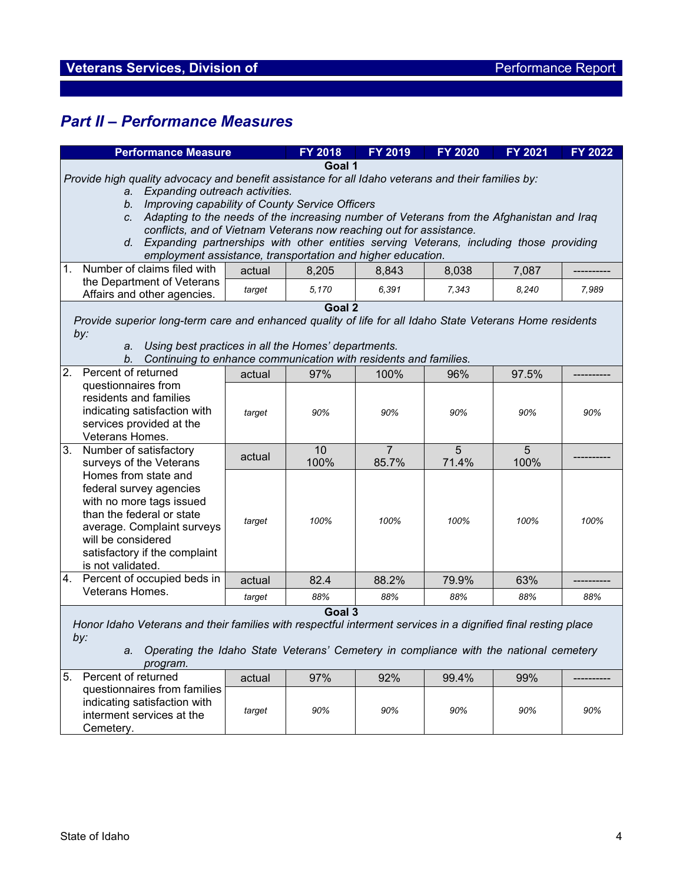# *Part II – Performance Measures*

| <b>Performance Measure</b>                                                                                                                                                                                                                                                                                                                                                    |                                                                                                                                                          | <b>FY 2018</b> | FY 2019                 | <b>FY 2020</b> | <b>FY 2021</b> | FY 2022 |
|-------------------------------------------------------------------------------------------------------------------------------------------------------------------------------------------------------------------------------------------------------------------------------------------------------------------------------------------------------------------------------|----------------------------------------------------------------------------------------------------------------------------------------------------------|----------------|-------------------------|----------------|----------------|---------|
|                                                                                                                                                                                                                                                                                                                                                                               |                                                                                                                                                          |                |                         |                |                |         |
| Goal 1<br>Provide high quality advocacy and benefit assistance for all Idaho veterans and their families by:<br>a. Expanding outreach activities.<br>b. Improving capability of County Service Officers<br>c. Adapting to the needs of the increasing number of Veterans from the Afghanistan and Iraq<br>conflicts, and of Vietnam Veterans now reaching out for assistance. |                                                                                                                                                          |                |                         |                |                |         |
|                                                                                                                                                                                                                                                                                                                                                                               | d. Expanding partnerships with other entities serving Veterans, including those providing<br>employment assistance, transportation and higher education. |                |                         |                |                |         |
| 1.<br>Number of claims filed with                                                                                                                                                                                                                                                                                                                                             | actual                                                                                                                                                   | 8,205          | 8,843                   | 8,038          | 7,087          |         |
| the Department of Veterans<br>Affairs and other agencies.                                                                                                                                                                                                                                                                                                                     | target                                                                                                                                                   | 5,170          | 6,391                   | 7,343          | 8,240          | 7,989   |
|                                                                                                                                                                                                                                                                                                                                                                               | Goal 2                                                                                                                                                   |                |                         |                |                |         |
| Provide superior long-term care and enhanced quality of life for all Idaho State Veterans Home residents<br>by:<br>Using best practices in all the Homes' departments.<br>a.<br>Continuing to enhance communication with residents and families.<br>b.                                                                                                                        |                                                                                                                                                          |                |                         |                |                |         |
| 2.<br>Percent of returned                                                                                                                                                                                                                                                                                                                                                     | actual                                                                                                                                                   | 97%            | 100%                    | 96%            | 97.5%          |         |
| questionnaires from<br>residents and families<br>indicating satisfaction with<br>services provided at the<br>Veterans Homes.                                                                                                                                                                                                                                                  | target                                                                                                                                                   | 90%            | 90%                     | 90%            | 90%            | 90%     |
| 3.<br>Number of satisfactory<br>surveys of the Veterans                                                                                                                                                                                                                                                                                                                       | actual                                                                                                                                                   | 10<br>100%     | $\overline{7}$<br>85.7% | 5<br>71.4%     | 5<br>100%      |         |
| Homes from state and<br>federal survey agencies<br>with no more tags issued<br>than the federal or state<br>average. Complaint surveys<br>will be considered<br>satisfactory if the complaint<br>is not validated.                                                                                                                                                            | target                                                                                                                                                   | 100%           | 100%                    | 100%           | 100%           | 100%    |
| 4.<br>Percent of occupied beds in                                                                                                                                                                                                                                                                                                                                             | actual                                                                                                                                                   | 82.4           | 88.2%                   | 79.9%          | 63%            |         |
| Veterans Homes.                                                                                                                                                                                                                                                                                                                                                               | target                                                                                                                                                   | 88%            | 88%                     | 88%            | 88%            | 88%     |
| Goal 3<br>Honor Idaho Veterans and their families with respectful interment services in a dignified final resting place<br>by:<br>Operating the Idaho State Veterans' Cemetery in compliance with the national cemetery<br>а.<br>program.<br>5.<br>Percent of returned<br>actual<br>97%<br>92%<br>99.4%<br>99%<br>questionnaires from families                                |                                                                                                                                                          |                |                         |                |                |         |
| indicating satisfaction with<br>interment services at the<br>Cemetery.                                                                                                                                                                                                                                                                                                        | target                                                                                                                                                   | 90%            | 90%                     | 90%            | 90%            | 90%     |